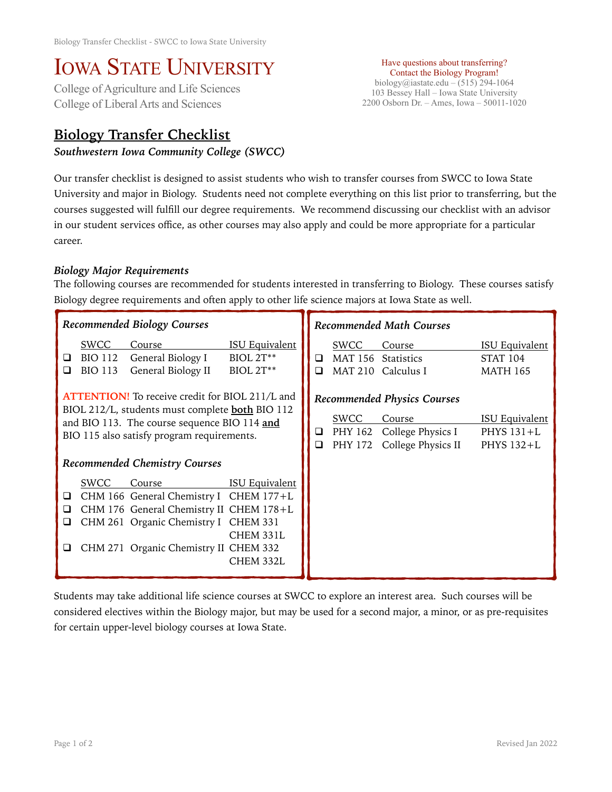# IOWA STATE UNIVERSITY<br>College of Agriculture and Life Sciences

College of Liberal Arts and Sciences

## **Biology Transfer Checklist**

#### *Southwestern Iowa Community College (SWCC)*

Have questions about transferring? Contact the Biology Program! biology@iastate.edu – (515) 294-1064 103 Bessey Hall – Iowa State University 2200 Osborn Dr. – Ames, Iowa – 50011-1020

Our transfer checklist is designed to assist students who wish to transfer courses from SWCC to Iowa State University and major in Biology. Students need not complete everything on this list prior to transferring, but the courses suggested will fulfill our degree requirements. We recommend discussing our checklist with an advisor in our student services office, as other courses may also apply and could be more appropriate for a particular career.

### *Biology Major Requirements*

The following courses are recommended for students interested in transferring to Biology. These courses satisfy Biology degree requirements and often apply to other life science majors at Iowa State as well.

| <b>Recommended Biology Courses</b>                                                                                                                                                                                                                     | <b>Recommended Math Courses</b>                                                                                                                                                                   |  |  |  |
|--------------------------------------------------------------------------------------------------------------------------------------------------------------------------------------------------------------------------------------------------------|---------------------------------------------------------------------------------------------------------------------------------------------------------------------------------------------------|--|--|--|
| SWCC<br><b>ISU Equivalent</b><br>Course<br>General Biology I<br>$BIOL 2T***$<br><b>BIO 112</b><br>⊔<br>General Biology II<br>BIOL 2T**<br><b>BIO 113</b><br>ப                                                                                          | SWCC<br><b>ISU Equivalent</b><br>Course<br>MAT 156<br><b>Statistics</b><br><b>STAT 104</b><br>□<br><b>MAT 210</b><br>Calculus I<br><b>MATH 165</b><br>◻                                           |  |  |  |
| <b>ATTENTION!</b> To receive credit for BIOL 211/L and<br>BIOL 212/L, students must complete <b>both</b> BIO 112<br>and BIO 113. The course sequence BIO 114 and<br>BIO 115 also satisfy program requirements.<br>Recommended Chemistry Courses        | <b>Recommended Physics Courses</b><br><b>SWCC</b><br><b>ISU Equivalent</b><br>Course<br>PHY 162<br>College Physics I<br>PHYS 131+L<br>Q.<br>College Physics II<br>PHY 172<br>PHYS 132+L<br>$\Box$ |  |  |  |
| <b>ISU Equivalent</b><br>SWCC<br>Course<br>CHM 166 General Chemistry I CHEM 177+L<br>□<br>CHM 176 General Chemistry II CHEM 178+L<br>⊔<br>CHM 261 Organic Chemistry I CHEM 331<br>⊔<br>CHEM 331L<br>CHM 271 Organic Chemistry II CHEM 332<br>CHEM 332L |                                                                                                                                                                                                   |  |  |  |

Students may take additional life science courses at SWCC to explore an interest area. Such courses will be considered electives within the Biology major, but may be used for a second major, a minor, or as pre-requisites for certain upper-level biology courses at Iowa State.